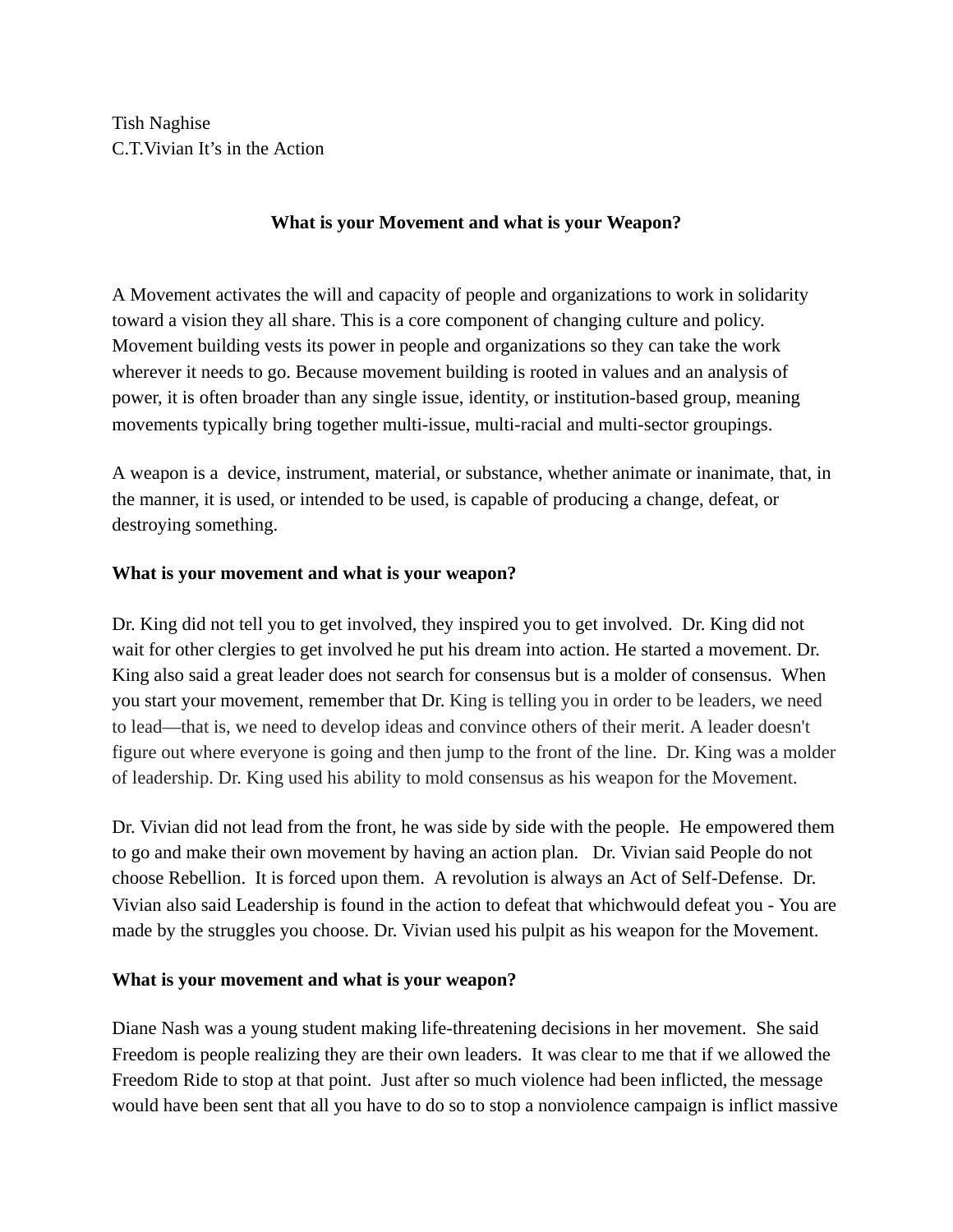Tish Naghise C.T.Vivian It's in the Action

## **What is your Movement and what is your Weapon?**

A Movement activates the will and capacity of people and organizations to work in solidarity toward a vision they all share. This is a core component of changing culture and policy. Movement building vests its power in people and organizations so they can take the work wherever it needs to go. Because movement building is rooted in values and an analysis of power, it is often broader than any single issue, identity, or institution-based group, meaning movements typically bring together multi-issue, multi-racial and multi-sector groupings.

A weapon is a device, instrument, material, or substance, whether animate or inanimate, that, in the manner, it is used, or intended to be used, is capable of producing a change, defeat, or destroying something.

## **What is your movement and what is your weapon?**

Dr. King did not tell you to get involved, they inspired you to get involved. Dr. King did not wait for other clergies to get involved he put his dream into action. He started a movement. Dr. King also said a great leader does not search for consensus but is a molder of consensus. When you start your movement, remember that Dr. King is telling you in order to be leaders, we need to lead—that is, we need to develop ideas and convince others of their merit. A leader doesn't figure out where everyone is going and then jump to the front of the line. Dr. King was a molder of leadership. Dr. King used his ability to mold consensus as his weapon for the Movement.

Dr. Vivian did not lead from the front, he was side by side with the people. He empowered them to go and make their own movement by having an action plan. Dr. Vivian said People do not choose Rebellion. It is forced upon them. A revolution is always an Act of Self-Defense. Dr. Vivian also said Leadership is found in the action to defeat that whichwould defeat you - You are made by the struggles you choose. Dr. Vivian used his pulpit as his weapon for the Movement.

## **What is your movement and what is your weapon?**

Diane Nash was a young student making life-threatening decisions in her movement. She said Freedom is people realizing they are their own leaders. It was clear to me that if we allowed the Freedom Ride to stop at that point. Just after so much violence had been inflicted, the message would have been sent that all you have to do so to stop a nonviolence campaign is inflict massive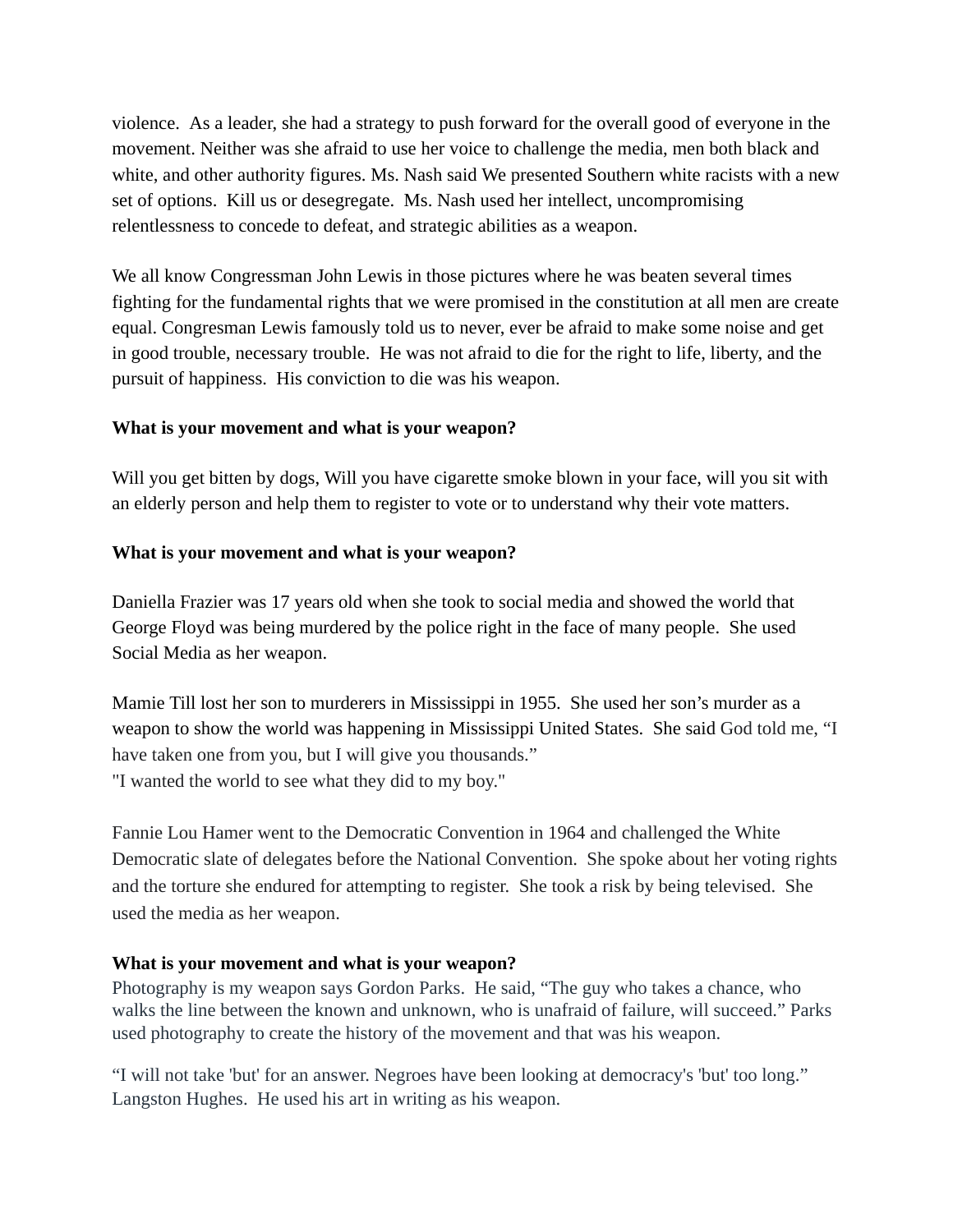violence. As a leader, she had a strategy to push forward for the overall good of everyone in the movement. Neither was she afraid to use her voice to challenge the media, men both black and white, and other authority figures. Ms. Nash said We presented Southern white racists with a new set of options. Kill us or desegregate. Ms. Nash used her intellect, uncompromising relentlessness to concede to defeat, and strategic abilities as a weapon.

We all know Congressman John Lewis in those pictures where he was beaten several times fighting for the fundamental rights that we were promised in the constitution at all men are create equal. Congresman Lewis famously told us to never, ever be afraid to make some noise and get in good trouble, necessary trouble. He was not afraid to die for the right to life, liberty, and the pursuit of happiness. His conviction to die was his weapon.

## **What is your movement and what is your weapon?**

Will you get bitten by dogs, Will you have cigarette smoke blown in your face, will you sit with an elderly person and help them to register to vote or to understand why their vote matters.

# **What is your movement and what is your weapon?**

Daniella Frazier was 17 years old when she took to social media and showed the world that George Floyd was being murdered by the police right in the face of many people. She used Social Media as her weapon.

Mamie Till lost her son to murderers in Mississippi in 1955. She used her son's murder as a weapon to show the world was happening in Mississippi United States. She said God told me, "I have taken one from you, but I will give you thousands." "I wanted the world to see what they did to my boy."

Fannie Lou Hamer went to the Democratic Convention in 1964 and challenged the White Democratic slate of delegates before the National Convention. She spoke about her voting rights and the torture she endured for attempting to register. She took a risk by being televised. She used the media as her weapon.

## **What is your movement and what is your weapon?**

Photography is my weapon says Gordon Parks. He said, "The guy who takes a chance, who walks the line between the known and unknown, who is unafraid of failure, will succeed." Parks used photography to create the history of the movement and that was his weapon.

"I will not take 'but' for an answer. Negroes have been looking at democracy's 'but' too long." Langston Hughes. He used his art in writing as his weapon.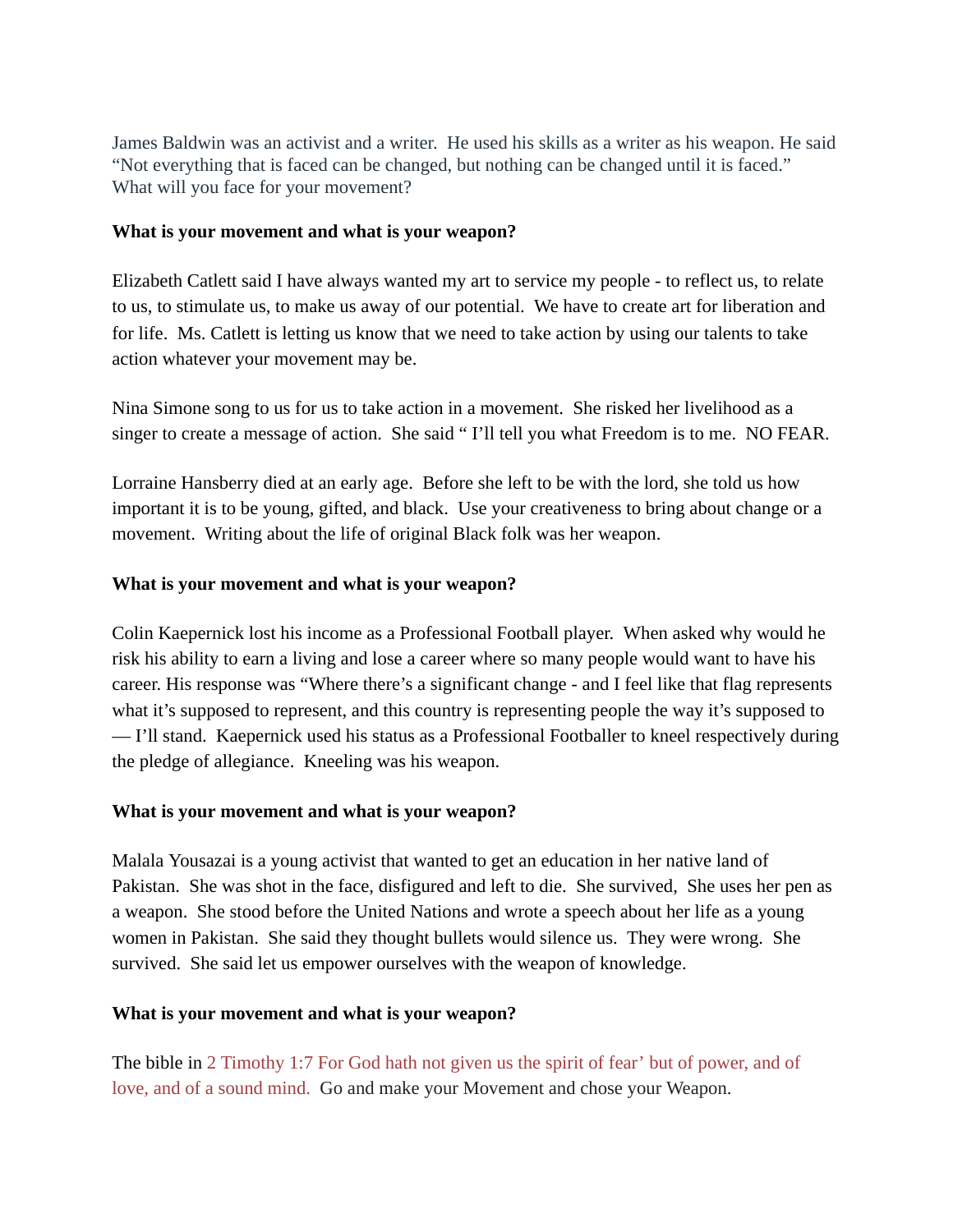James Baldwin was an activist and a writer. He used his skills as a writer as his weapon. He said "Not everything that is faced can be changed, but nothing can be changed until it is faced." What will you face for your movement?

#### **What is your movement and what is your weapon?**

Elizabeth Catlett said I have always wanted my art to service my people - to reflect us, to relate to us, to stimulate us, to make us away of our potential. We have to create art for liberation and for life. Ms. Catlett is letting us know that we need to take action by using our talents to take action whatever your movement may be.

Nina Simone song to us for us to take action in a movement. She risked her livelihood as a singer to create a message of action. She said " I'll tell you what Freedom is to me. NO FEAR.

Lorraine Hansberry died at an early age. Before she left to be with the lord, she told us how important it is to be young, gifted, and black. Use your creativeness to bring about change or a movement. Writing about the life of original Black folk was her weapon.

#### **What is your movement and what is your weapon?**

Colin Kaepernick lost his income as a Professional Football player. When asked why would he risk his ability to earn a living and lose a career where so many people would want to have his career. His response was "Where there's a significant change - and I feel like that flag represents what it's supposed to represent, and this country is representing people the way it's supposed to — I'll stand. Kaepernick used his status as a Professional Footballer to kneel respectively during the pledge of allegiance. Kneeling was his weapon.

#### **What is your movement and what is your weapon?**

Malala Yousazai is a young activist that wanted to get an education in her native land of Pakistan. She was shot in the face, disfigured and left to die. She survived, She uses her pen as a weapon. She stood before the United Nations and wrote a speech about her life as a young women in Pakistan. She said they thought bullets would silence us. They were wrong. She survived. She said let us empower ourselves with the weapon of knowledge.

#### **What is your movement and what is your weapon?**

The bible in 2 Timothy 1:7 For God hath not given us the spirit of fear' but of power, and of love, and of a sound mind. Go and make your Movement and chose your Weapon.